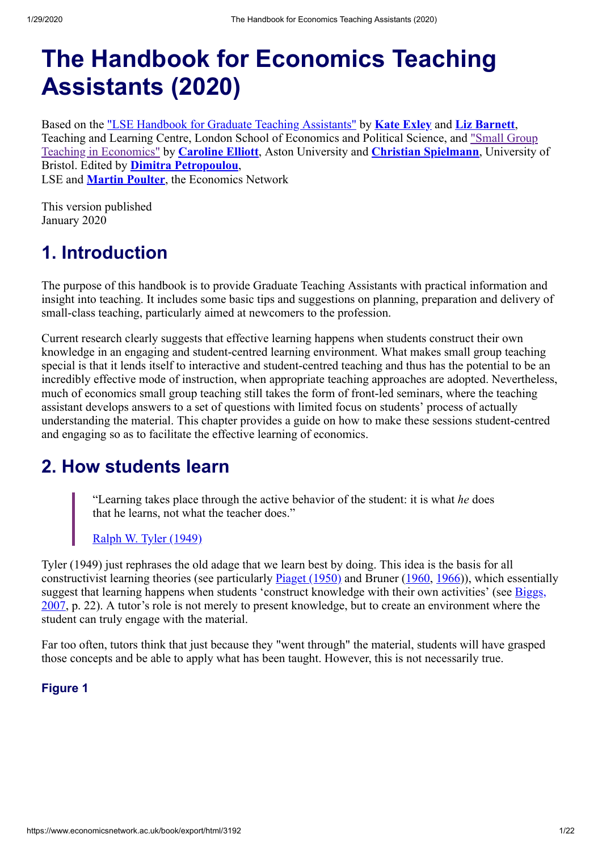# **The Handbook for Economics Teaching Assistants (2020)**

Based on the ["LSE Handbook for Graduate Teaching Assistants"](http://www.lse.ac.uk/resources/graduateTeachingAssistantsHandbook/) by **[Kate Exley](https://www.economicsnetwork.ac.uk/profiles/159)** and **[Liz Barnett](https://www.economicsnetwork.ac.uk/profiles/160)**, [Teaching and Learning Centre, London School of Economics and Political Science, and "Small Group](https://www.economicsnetwork.ac.uk/handbook/smallgroup) Teaching in Economics" by **[Caroline Elliott](https://www.economicsnetwork.ac.uk/profiles/127)**, Aston University and **[Christian Spielmann](https://www.economicsnetwork.ac.uk/profiles/220)** , University of Bristol. Edited by **[Dimitra Petropoulou](https://www.economicsnetwork.ac.uk/profiles/114)**, LSE and **[Martin Poulter](https://www.economicsnetwork.ac.uk/contact/martin)**, the Economics Network

This version published January 2020

# **1. Introduction**

The purpose of this handbook is to provide Graduate Teaching Assistants with practical information and insight into teaching. It includes some basic tips and suggestions on planning, preparation and delivery of small-class teaching, particularly aimed at newcomers to the profession.

Current research clearly suggests that effective learning happens when students construct their own knowledge in an engaging and student-centred learning environment. What makes small group teaching special is that it lends itself to interactive and student-centred teaching and thus has the potential to be an incredibly effective mode of instruction, when appropriate teaching approaches are adopted. Nevertheless, much of economics small group teaching still takes the form of front-led seminars, where the teaching assistant develops answers to a set of questions with limited focus on students' process of actually understanding the material. This chapter provides a guide on how to make these sessions student-centred and engaging so as to facilitate the effective learning of economics.

## **2. How students learn**

"Learning takes place through the active behavior of the student: it is what *he* does that he learns, not what the teacher does."

### [Ralph W. Tyler \(1949\)](https://www.economicsnetwork.ac.uk/refs#tyler1949)

Tyler (1949) just rephrases the old adage that we learn best by doing. This idea is the basis for all constructivist learning theories (see particularly [Piaget \(1950\)](https://www.economicsnetwork.ac.uk/refs#piaget1950) and Bruner [\(1960](https://www.economicsnetwork.ac.uk/refs#bruner1960), [1966](https://www.economicsnetwork.ac.uk/refs#bruner1966))), which essentially [suggest that learning happens when students 'construct knowledge with their own activities' \(see Biggs,](https://www.economicsnetwork.ac.uk/refs#biggs2007) 2007, p. 22). A tutor's role is not merely to present knowledge, but to create an environment where the student can truly engage with the material.

Far too often, tutors think that just because they "went through" the material, students will have grasped those concepts and be able to apply what has been taught. However, this is not necessarily true.

### **Figure 1**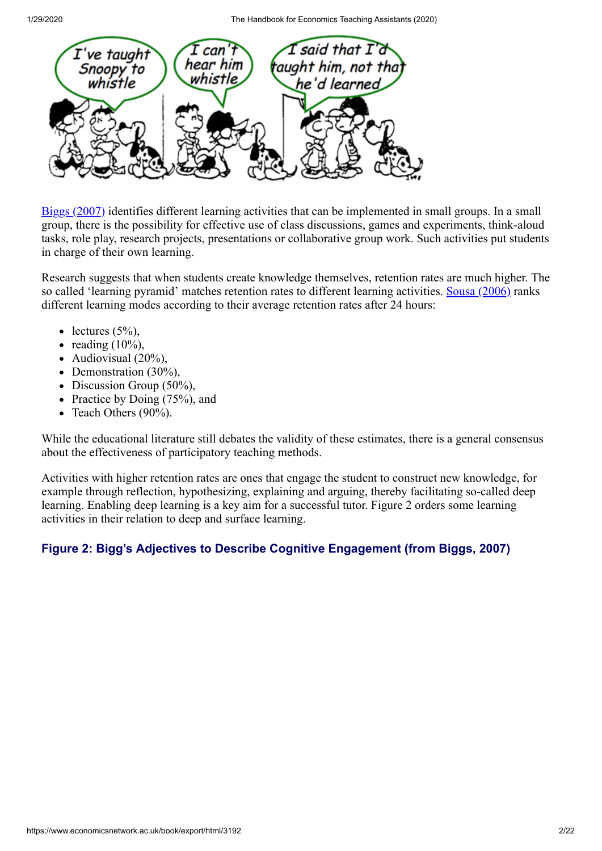

[Biggs \(2007\)](https://www.economicsnetwork.ac.uk/refs#biggs2007) identifies different learning activities that can be implemented in small groups. In a small group, there is the possibility for effective use of class discussions, games and experiments, think-aloud tasks, role play, research projects, presentations or collaborative group work. Such activities put students in charge of their own learning.

Research suggests that when students create knowledge themselves, retention rates are much higher. The so called 'learning pyramid' matches retention rates to different learning activities. [Sousa \(2006\)](https://www.economicsnetwork.ac.uk/refs#sousa2006) ranks different learning modes according to their average retention rates after 24 hours:

- lectures  $(5\%)$ ,
- reading  $(10\%)$ ,
- Audiovisual  $(20\%)$ ,
- Demonstration  $(30\%)$ ,
- Discussion Group  $(50\%)$ ,
- Practice by Doing  $(75%)$ , and
- Teach Others (90%).

While the educational literature still debates the validity of these estimates, there is a general consensus about the effectiveness of participatory teaching methods.

Activities with higher retention rates are ones that engage the student to construct new knowledge, for example through reflection, hypothesizing, explaining and arguing, thereby facilitating so-called deep learning. Enabling deep learning is a key aim for a successful tutor. Figure 2 orders some learning activities in their relation to deep and surface learning.

### **Figure 2: Bigg's Adjectives to Describe Cognitive Engagement (from Biggs, 2007)**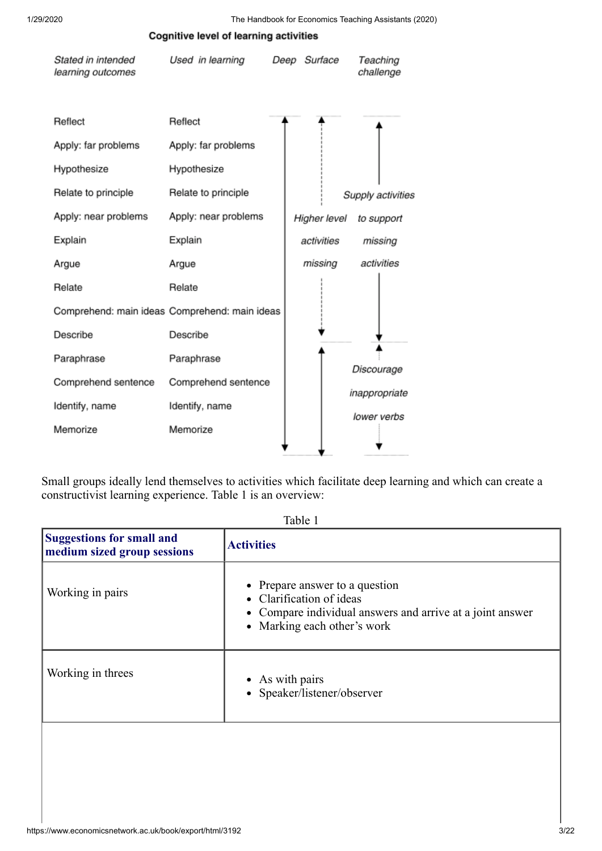| Stated in intended<br>learning outcomes       | Used in learning                              | Deep Surface | Teaching<br>challenge |
|-----------------------------------------------|-----------------------------------------------|--------------|-----------------------|
| Reflect<br>Apply: far problems<br>Hypothesize | Reflect<br>Apply: far problems<br>Hypothesize |              |                       |
| Relate to principle                           | Relate to principle                           |              | Supply activities     |
| Apply: near problems                          | Apply: near problems                          | Higher level | to support            |
| Explain                                       | Explain                                       | activities   | missing               |
| Argue                                         | Argue                                         | missing      | activities            |
| Relate                                        | Relate                                        |              |                       |
| Comprehend: main ideas Comprehend: main ideas |                                               |              |                       |
| Describe                                      | Describe                                      |              |                       |
| Paraphrase                                    | Paraphrase                                    |              |                       |
| Comprehend sentence                           | Comprehend sentence                           |              | Discourage            |
| Identify, name                                | Identify, name                                |              | inappropriate         |
| Memorize                                      | Memorize                                      |              | lower verbs           |

**Cognitive level of learning activities** 

Small groups ideally lend themselves to activities which facilitate deep learning and which can create a constructivist learning experience. Table 1 is an overview:

| <b>Suggestions for small and</b><br>medium sized group sessions | <b>Activities</b>                                                                                                                                      |
|-----------------------------------------------------------------|--------------------------------------------------------------------------------------------------------------------------------------------------------|
| Working in pairs                                                | • Prepare answer to a question<br>• Clarification of ideas<br>• Compare individual answers and arrive at a joint answer<br>• Marking each other's work |
| Working in threes                                               | • As with pairs<br>• Speaker/listener/observer                                                                                                         |

Table 1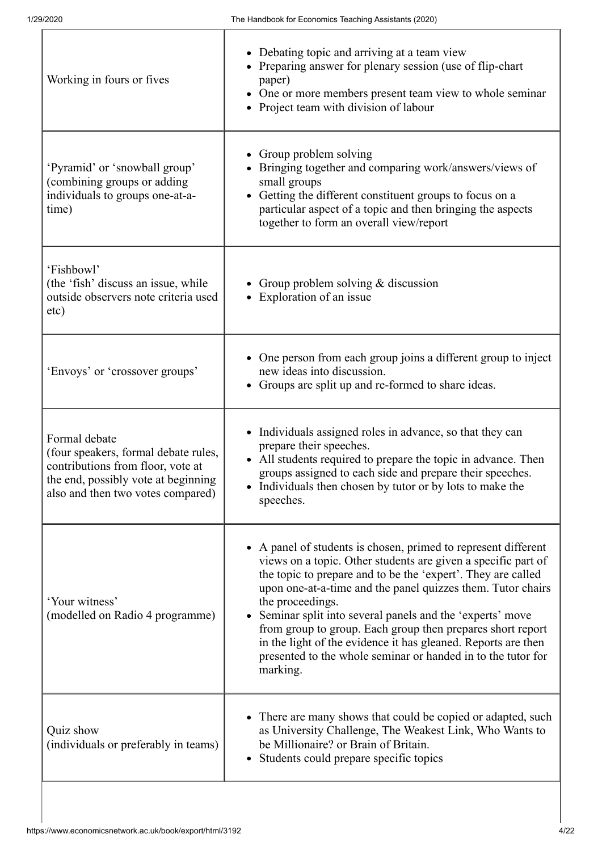| Working in fours or fives                                                                                                                                              | Debating topic and arriving at a team view<br>Preparing answer for plenary session (use of flip-chart<br>paper)<br>One or more members present team view to whole seminar<br>• Project team with division of labour                                                                                                                                                                                                                                                                                                                                     |
|------------------------------------------------------------------------------------------------------------------------------------------------------------------------|---------------------------------------------------------------------------------------------------------------------------------------------------------------------------------------------------------------------------------------------------------------------------------------------------------------------------------------------------------------------------------------------------------------------------------------------------------------------------------------------------------------------------------------------------------|
| 'Pyramid' or 'snowball group'<br>(combining groups or adding<br>individuals to groups one-at-a-<br>time)                                                               | Group problem solving<br>Bringing together and comparing work/answers/views of<br>small groups<br>Getting the different constituent groups to focus on a<br>particular aspect of a topic and then bringing the aspects<br>together to form an overall view/report                                                                                                                                                                                                                                                                                       |
| 'Fishbowl'<br>(the 'fish' discuss an issue, while<br>outside observers note criteria used<br>etc)                                                                      | • Group problem solving & discussion<br>Exploration of an issue                                                                                                                                                                                                                                                                                                                                                                                                                                                                                         |
| 'Envoys' or 'crossover groups'                                                                                                                                         | One person from each group joins a different group to inject<br>new ideas into discussion.<br>• Groups are split up and re-formed to share ideas.                                                                                                                                                                                                                                                                                                                                                                                                       |
| Formal debate<br>(four speakers, formal debate rules,<br>contributions from floor, vote at<br>the end, possibly vote at beginning<br>also and then two votes compared) | Individuals assigned roles in advance, so that they can<br>prepare their speeches.<br>• All students required to prepare the topic in advance. Then<br>groups assigned to each side and prepare their speeches.<br>Individuals then chosen by tutor or by lots to make the<br>speeches.                                                                                                                                                                                                                                                                 |
| 'Your witness'<br>(modelled on Radio 4 programme)                                                                                                                      | A panel of students is chosen, primed to represent different<br>views on a topic. Other students are given a specific part of<br>the topic to prepare and to be the 'expert'. They are called<br>upon one-at-a-time and the panel quizzes them. Tutor chairs<br>the proceedings.<br>Seminar split into several panels and the 'experts' move<br>from group to group. Each group then prepares short report<br>in the light of the evidence it has gleaned. Reports are then<br>presented to the whole seminar or handed in to the tutor for<br>marking. |
| Quiz show<br>(individuals or preferably in teams)                                                                                                                      | There are many shows that could be copied or adapted, such<br>as University Challenge, The Weakest Link, Who Wants to<br>be Millionaire? or Brain of Britain.<br>Students could prepare specific topics                                                                                                                                                                                                                                                                                                                                                 |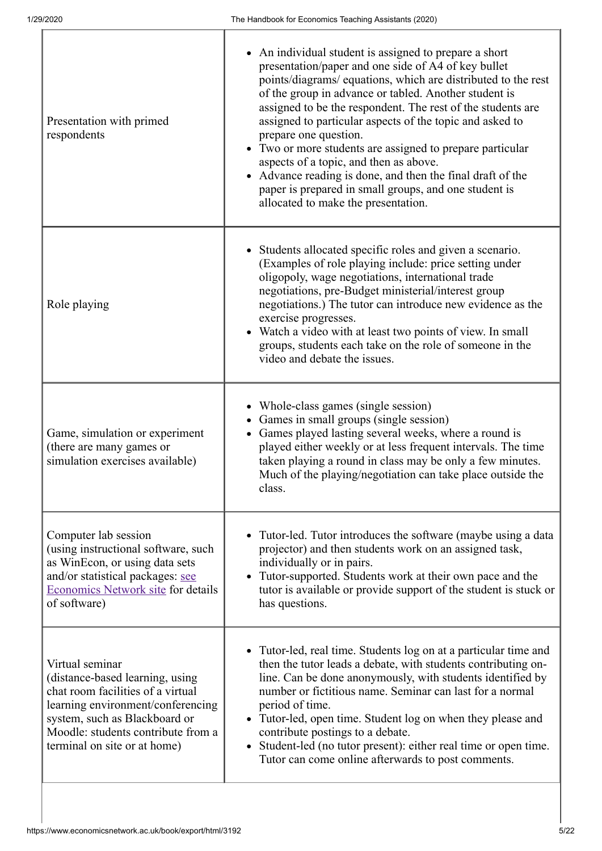| Presentation with primed<br>respondents                                                                                                                                                                                             | • An individual student is assigned to prepare a short<br>presentation/paper and one side of A4 of key bullet<br>points/diagrams/ equations, which are distributed to the rest<br>of the group in advance or tabled. Another student is<br>assigned to be the respondent. The rest of the students are<br>assigned to particular aspects of the topic and asked to<br>prepare one question.<br>• Two or more students are assigned to prepare particular<br>aspects of a topic, and then as above.<br>Advance reading is done, and then the final draft of the<br>paper is prepared in small groups, and one student is<br>allocated to make the presentation. |
|-------------------------------------------------------------------------------------------------------------------------------------------------------------------------------------------------------------------------------------|----------------------------------------------------------------------------------------------------------------------------------------------------------------------------------------------------------------------------------------------------------------------------------------------------------------------------------------------------------------------------------------------------------------------------------------------------------------------------------------------------------------------------------------------------------------------------------------------------------------------------------------------------------------|
| Role playing                                                                                                                                                                                                                        | • Students allocated specific roles and given a scenario.<br>(Examples of role playing include: price setting under<br>oligopoly, wage negotiations, international trade<br>negotiations, pre-Budget ministerial/interest group<br>negotiations.) The tutor can introduce new evidence as the<br>exercise progresses.<br>Watch a video with at least two points of view. In small<br>groups, students each take on the role of someone in the<br>video and debate the issues.                                                                                                                                                                                  |
| Game, simulation or experiment<br>(there are many games or<br>simulation exercises available)                                                                                                                                       | Whole-class games (single session)<br>Games in small groups (single session)<br>Games played lasting several weeks, where a round is<br>played either weekly or at less frequent intervals. The time<br>taken playing a round in class may be only a few minutes.<br>Much of the playing/negotiation can take place outside the<br>class.                                                                                                                                                                                                                                                                                                                      |
| Computer lab session<br>(using instructional software, such<br>as WinEcon, or using data sets<br>and/or statistical packages: see<br>Economics Network site for details<br>of software)                                             | Tutor-led. Tutor introduces the software (maybe using a data<br>projector) and then students work on an assigned task,<br>individually or in pairs.<br>Tutor-supported. Students work at their own pace and the<br>tutor is available or provide support of the student is stuck or<br>has questions.                                                                                                                                                                                                                                                                                                                                                          |
| Virtual seminar<br>(distance-based learning, using<br>chat room facilities of a virtual<br>learning environment/conferencing<br>system, such as Blackboard or<br>Moodle: students contribute from a<br>terminal on site or at home) | • Tutor-led, real time. Students log on at a particular time and<br>then the tutor leads a debate, with students contributing on-<br>line. Can be done anonymously, with students identified by<br>number or fictitious name. Seminar can last for a normal<br>period of time.<br>• Tutor-led, open time. Student log on when they please and<br>contribute postings to a debate.<br>• Student-led (no tutor present): either real time or open time.<br>Tutor can come online afterwards to post comments.                                                                                                                                                    |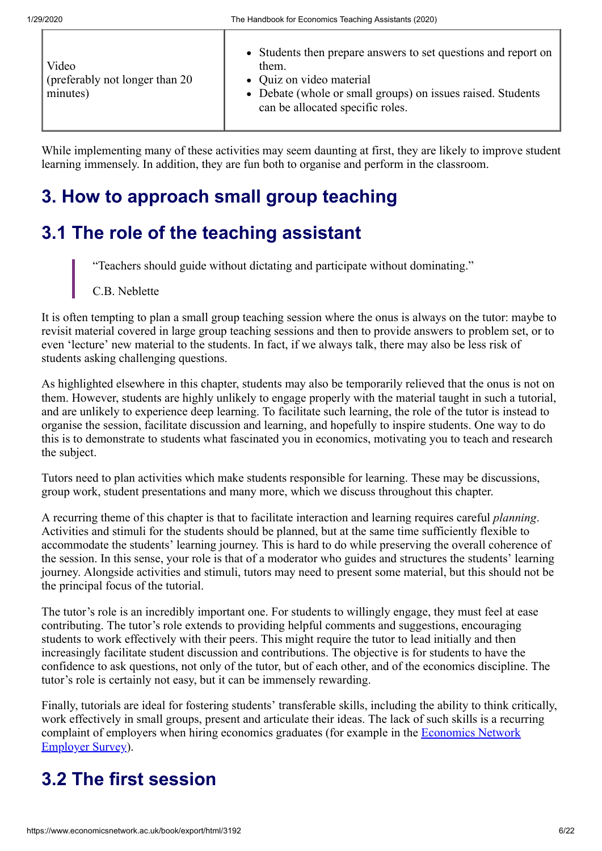While implementing many of these activities may seem daunting at first, they are likely to improve student learning immensely. In addition, they are fun both to organise and perform in the classroom.

# **3. How to approach small group teaching**

## **3.1 The role of the teaching assistant**

"Teachers should guide without dictating and participate without dominating."

C.B. Neblette

It is often tempting to plan a small group teaching session where the onus is always on the tutor: maybe to revisit material covered in large group teaching sessions and then to provide answers to problem set, or to even 'lecture' new material to the students. In fact, if we always talk, there may also be less risk of students asking challenging questions.

As highlighted elsewhere in this chapter, students may also be temporarily relieved that the onus is not on them. However, students are highly unlikely to engage properly with the material taught in such a tutorial, and are unlikely to experience deep learning. To facilitate such learning, the role of the tutor is instead to organise the session, facilitate discussion and learning, and hopefully to inspire students. One way to do this is to demonstrate to students what fascinated you in economics, motivating you to teach and research the subject.

Tutors need to plan activities which make students responsible for learning. These may be discussions, group work, student presentations and many more, which we discuss throughout this chapter.

A recurring theme of this chapter is that to facilitate interaction and learning requires careful *planning*. Activities and stimuli for the students should be planned, but at the same time sufficiently flexible to accommodate the students' learning journey. This is hard to do while preserving the overall coherence of the session. In this sense, your role is that of a moderator who guides and structures the students' learning journey. Alongside activities and stimuli, tutors may need to present some material, but this should not be the principal focus of the tutorial.

The tutor's role is an incredibly important one. For students to willingly engage, they must feel at ease contributing. The tutor's role extends to providing helpful comments and suggestions, encouraging students to work effectively with their peers. This might require the tutor to lead initially and then increasingly facilitate student discussion and contributions. The objective is for students to have the confidence to ask questions, not only of the tutor, but of each other, and of the economics discipline. The tutor's role is certainly not easy, but it can be immensely rewarding.

Finally, tutorials are ideal for fostering students' transferable skills, including the ability to think critically, work effectively in small groups, present and articulate their ideas. The lack of such skills is a recurring [complaint of employers when hiring economics graduates \(for example in the Economics Network](https://www.economicsnetwork.ac.uk/projects/surveys/employers14-15) Employer Survey).

# **3.2 The first session**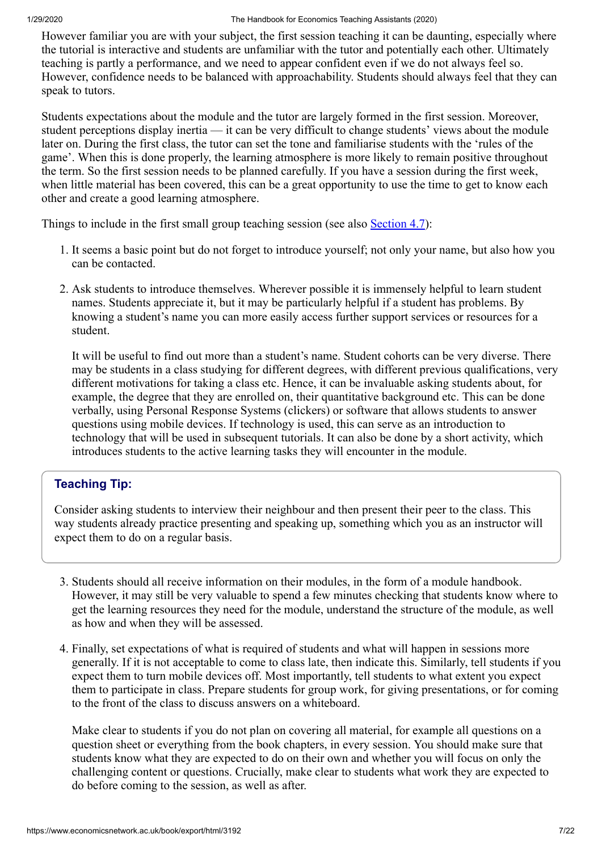However familiar you are with your subject, the first session teaching it can be daunting, especially where the tutorial is interactive and students are unfamiliar with the tutor and potentially each other. Ultimately teaching is partly a performance, and we need to appear confident even if we do not always feel so. However, confidence needs to be balanced with approachability. Students should always feel that they can speak to tutors.

Students expectations about the module and the tutor are largely formed in the first session. Moreover, student perceptions display inertia — it can be very difficult to change students' views about the module later on. During the first class, the tutor can set the tone and familiarise students with the 'rules of the game'. When this is done properly, the learning atmosphere is more likely to remain positive throughout the term. So the first session needs to be planned carefully. If you have a session during the first week, when little material has been covered, this can be a great opportunity to use the time to get to know each other and create a good learning atmosphere.

Things to include in the first small group teaching session (see also [Section 4.7\)](https://www.economicsnetwork.ac.uk/47):

- 1. It seems a basic point but do not forget to introduce yourself; not only your name, but also how you can be contacted.
- 2. Ask students to introduce themselves. Wherever possible it is immensely helpful to learn student names. Students appreciate it, but it may be particularly helpful if a student has problems. By knowing a student's name you can more easily access further support services or resources for a student.

It will be useful to find out more than a student's name. Student cohorts can be very diverse. There may be students in a class studying for different degrees, with different previous qualifications, very different motivations for taking a class etc. Hence, it can be invaluable asking students about, for example, the degree that they are enrolled on, their quantitative background etc. This can be done verbally, using Personal Response Systems (clickers) or software that allows students to answer questions using mobile devices. If technology is used, this can serve as an introduction to technology that will be used in subsequent tutorials. It can also be done by a short activity, which introduces students to the active learning tasks they will encounter in the module.

### **Teaching Tip:**

Consider asking students to interview their neighbour and then present their peer to the class. This way students already practice presenting and speaking up, something which you as an instructor will expect them to do on a regular basis.

- 3. Students should all receive information on their modules, in the form of a module handbook. However, it may still be very valuable to spend a few minutes checking that students know where to get the learning resources they need for the module, understand the structure of the module, as well as how and when they will be assessed.
- 4. Finally, set expectations of what is required of students and what will happen in sessions more generally. If it is not acceptable to come to class late, then indicate this. Similarly, tell students if you expect them to turn mobile devices off. Most importantly, tell students to what extent you expect them to participate in class. Prepare students for group work, for giving presentations, or for coming to the front of the class to discuss answers on a whiteboard.

Make clear to students if you do not plan on covering all material, for example all questions on a question sheet or everything from the book chapters, in every session. You should make sure that students know what they are expected to do on their own and whether you will focus on only the challenging content or questions. Crucially, make clear to students what work they are expected to do before coming to the session, as well as after.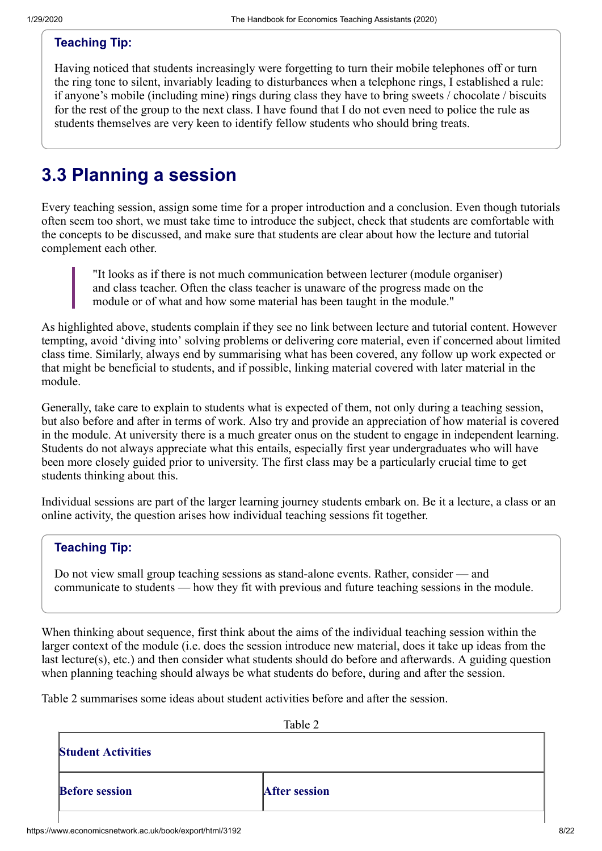### **Teaching Tip:**

Having noticed that students increasingly were forgetting to turn their mobile telephones off or turn the ring tone to silent, invariably leading to disturbances when a telephone rings, I established a rule: if anyone's mobile (including mine) rings during class they have to bring sweets / chocolate / biscuits for the rest of the group to the next class. I have found that I do not even need to police the rule as students themselves are very keen to identify fellow students who should bring treats.

## **3.3 Planning a session**

Every teaching session, assign some time for a proper introduction and a conclusion. Even though tutorials often seem too short, we must take time to introduce the subject, check that students are comfortable with the concepts to be discussed, and make sure that students are clear about how the lecture and tutorial complement each other.

"It looks as if there is not much communication between lecturer (module organiser) and class teacher. Often the class teacher is unaware of the progress made on the module or of what and how some material has been taught in the module."

As highlighted above, students complain if they see no link between lecture and tutorial content. However tempting, avoid 'diving into' solving problems or delivering core material, even if concerned about limited class time. Similarly, always end by summarising what has been covered, any follow up work expected or that might be beneficial to students, and if possible, linking material covered with later material in the module.

Generally, take care to explain to students what is expected of them, not only during a teaching session, but also before and after in terms of work. Also try and provide an appreciation of how material is covered in the module. At university there is a much greater onus on the student to engage in independent learning. Students do not always appreciate what this entails, especially first year undergraduates who will have been more closely guided prior to university. The first class may be a particularly crucial time to get students thinking about this.

Individual sessions are part of the larger learning journey students embark on. Be it a lecture, a class or an online activity, the question arises how individual teaching sessions fit together.

### **Teaching Tip:**

Do not view small group teaching sessions as stand-alone events. Rather, consider — and communicate to students — how they fit with previous and future teaching sessions in the module.

When thinking about sequence, first think about the aims of the individual teaching session within the larger context of the module (i.e. does the session introduce new material, does it take up ideas from the last lecture(s), etc.) and then consider what students should do before and afterwards. A guiding question when planning teaching should always be what students do before, during and after the session.

Table 2 summarises some ideas about student activities before and after the session.

| Table 2              |
|----------------------|
| <b>After session</b> |
|                      |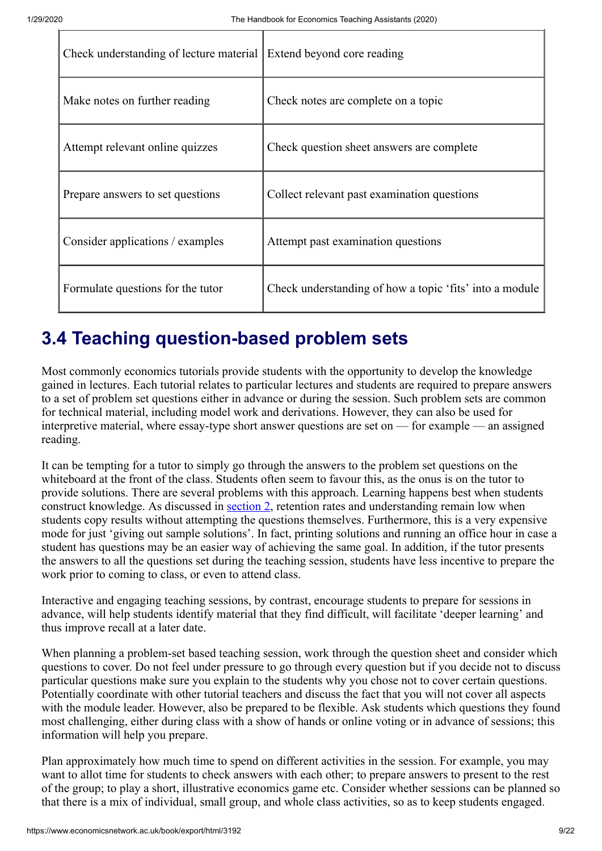| Check understanding of lecture material | Extend beyond core reading                              |
|-----------------------------------------|---------------------------------------------------------|
| Make notes on further reading           | Check notes are complete on a topic                     |
| Attempt relevant online quizzes         | Check question sheet answers are complete               |
| Prepare answers to set questions        | Collect relevant past examination questions             |
| Consider applications / examples        | Attempt past examination questions                      |
| Formulate questions for the tutor       | Check understanding of how a topic 'fits' into a module |

# **3.4 Teaching question-based problem sets**

Most commonly economics tutorials provide students with the opportunity to develop the knowledge gained in lectures. Each tutorial relates to particular lectures and students are required to prepare answers to a set of problem set questions either in advance or during the session. Such problem sets are common for technical material, including model work and derivations. However, they can also be used for interpretive material, where essay-type short answer questions are set on — for example — an assigned reading.

It can be tempting for a tutor to simply go through the answers to the problem set questions on the whiteboard at the front of the class. Students often seem to favour this, as the onus is on the tutor to provide solutions. There are several problems with this approach. Learning happens best when students construct knowledge. As discussed in [section 2,](https://www.economicsnetwork.ac.uk/2) retention rates and understanding remain low when students copy results without attempting the questions themselves. Furthermore, this is a very expensive mode for just 'giving out sample solutions'. In fact, printing solutions and running an office hour in case a student has questions may be an easier way of achieving the same goal. In addition, if the tutor presents the answers to all the questions set during the teaching session, students have less incentive to prepare the work prior to coming to class, or even to attend class.

Interactive and engaging teaching sessions, by contrast, encourage students to prepare for sessions in advance, will help students identify material that they find difficult, will facilitate 'deeper learning' and thus improve recall at a later date.

When planning a problem-set based teaching session, work through the question sheet and consider which questions to cover. Do not feel under pressure to go through every question but if you decide not to discuss particular questions make sure you explain to the students why you chose not to cover certain questions. Potentially coordinate with other tutorial teachers and discuss the fact that you will not cover all aspects with the module leader. However, also be prepared to be flexible. Ask students which questions they found most challenging, either during class with a show of hands or online voting or in advance of sessions; this information will help you prepare.

Plan approximately how much time to spend on different activities in the session. For example, you may want to allot time for students to check answers with each other; to prepare answers to present to the rest of the group; to play a short, illustrative economics game etc. Consider whether sessions can be planned so that there is a mix of individual, small group, and whole class activities, so as to keep students engaged.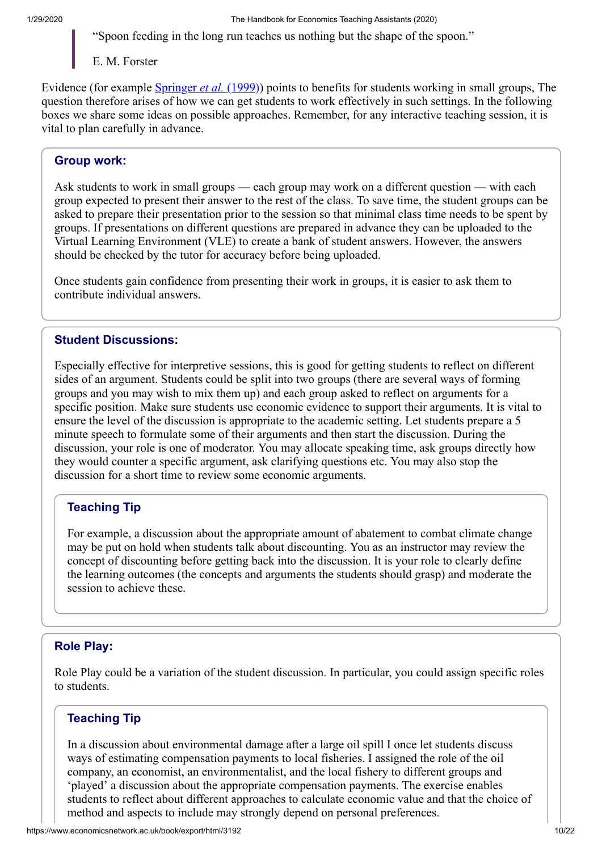"Spoon feeding in the long run teaches us nothing but the shape of the spoon."

E. M. Forster

Evidence (for example *[Springer](https://www.economicsnetwork.ac.uk/refs#springer1999) et al.* (1999)) points to benefits for students working in small groups, The question therefore arises of how we can get students to work effectively in such settings. In the following boxes we share some ideas on possible approaches. Remember, for any interactive teaching session, it is vital to plan carefully in advance.

### **Group work:**

Ask students to work in small groups — each group may work on a different question — with each group expected to present their answer to the rest of the class. To save time, the student groups can be asked to prepare their presentation prior to the session so that minimal class time needs to be spent by groups. If presentations on different questions are prepared in advance they can be uploaded to the Virtual Learning Environment (VLE) to create a bank of student answers. However, the answers should be checked by the tutor for accuracy before being uploaded.

Once students gain confidence from presenting their work in groups, it is easier to ask them to contribute individual answers.

### **Student Discussions:**

Especially effective for interpretive sessions, this is good for getting students to reflect on different sides of an argument. Students could be split into two groups (there are several ways of forming groups and you may wish to mix them up) and each group asked to reflect on arguments for a specific position. Make sure students use economic evidence to support their arguments. It is vital to ensure the level of the discussion is appropriate to the academic setting. Let students prepare a 5 minute speech to formulate some of their arguments and then start the discussion. During the discussion, your role is one of moderator. You may allocate speaking time, ask groups directly how they would counter a specific argument, ask clarifying questions etc. You may also stop the discussion for a short time to review some economic arguments.

### **Teaching Tip**

For example, a discussion about the appropriate amount of abatement to combat climate change may be put on hold when students talk about discounting. You as an instructor may review the concept of discounting before getting back into the discussion. It is your role to clearly define the learning outcomes (the concepts and arguments the students should grasp) and moderate the session to achieve these.

### **Role Play:**

Role Play could be a variation of the student discussion. In particular, you could assign specific roles to students.

### **Teaching Tip**

In a discussion about environmental damage after a large oil spill I once let students discuss ways of estimating compensation payments to local fisheries. I assigned the role of the oil company, an economist, an environmentalist, and the local fishery to different groups and 'played' a discussion about the appropriate compensation payments. The exercise enables students to reflect about different approaches to calculate economic value and that the choice of method and aspects to include may strongly depend on personal preferences.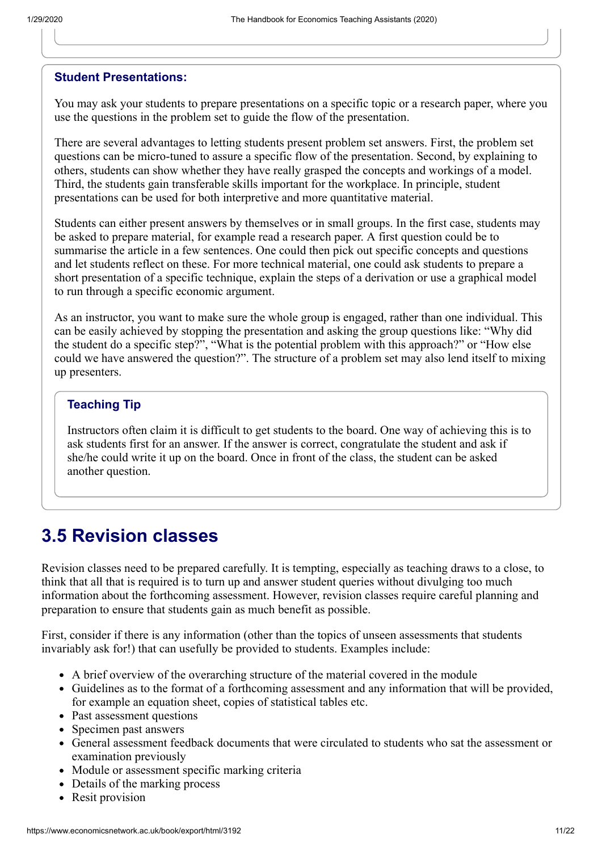### **Student Presentations:**

You may ask your students to prepare presentations on a specific topic or a research paper, where you use the questions in the problem set to guide the flow of the presentation.

There are several advantages to letting students present problem set answers. First, the problem set questions can be micro-tuned to assure a specific flow of the presentation. Second, by explaining to others, students can show whether they have really grasped the concepts and workings of a model. Third, the students gain transferable skills important for the workplace. In principle, student presentations can be used for both interpretive and more quantitative material.

Students can either present answers by themselves or in small groups. In the first case, students may be asked to prepare material, for example read a research paper. A first question could be to summarise the article in a few sentences. One could then pick out specific concepts and questions and let students reflect on these. For more technical material, one could ask students to prepare a short presentation of a specific technique, explain the steps of a derivation or use a graphical model to run through a specific economic argument.

As an instructor, you want to make sure the whole group is engaged, rather than one individual. This can be easily achieved by stopping the presentation and asking the group questions like: "Why did the student do a specific step?", "What is the potential problem with this approach?" or "How else could we have answered the question?". The structure of a problem set may also lend itself to mixing up presenters.

### **Teaching Tip**

Instructors often claim it is difficult to get students to the board. One way of achieving this is to ask students first for an answer. If the answer is correct, congratulate the student and ask if she/he could write it up on the board. Once in front of the class, the student can be asked another question.

## **3.5 Revision classes**

Revision classes need to be prepared carefully. It is tempting, especially as teaching draws to a close, to think that all that is required is to turn up and answer student queries without divulging too much information about the forthcoming assessment. However, revision classes require careful planning and preparation to ensure that students gain as much benefit as possible.

First, consider if there is any information (other than the topics of unseen assessments that students invariably ask for!) that can usefully be provided to students. Examples include:

- A brief overview of the overarching structure of the material covered in the module
- Guidelines as to the format of a forthcoming assessment and any information that will be provided, for example an equation sheet, copies of statistical tables etc.
- Past assessment questions
- Specimen past answers
- General assessment feedback documents that were circulated to students who sat the assessment or examination previously
- Module or assessment specific marking criteria
- Details of the marking process
- Resit provision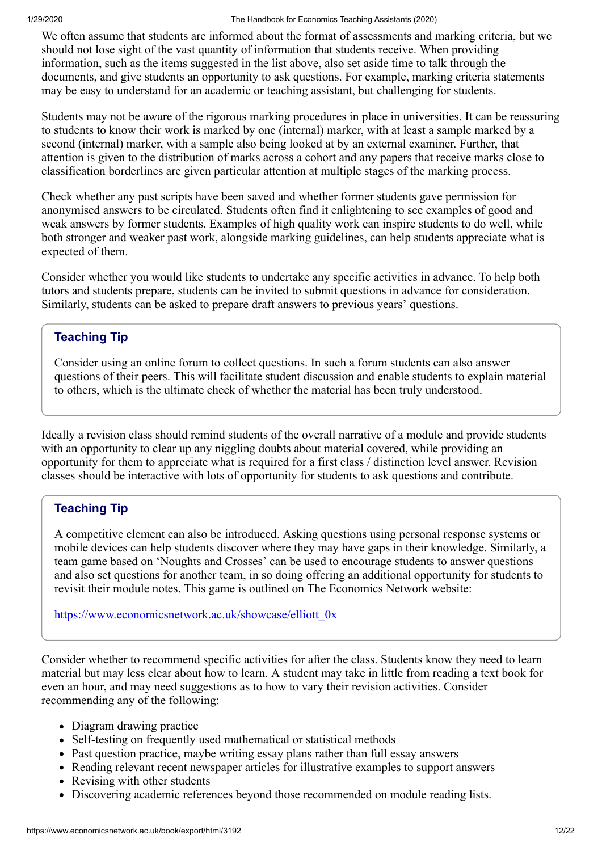We often assume that students are informed about the format of assessments and marking criteria, but we should not lose sight of the vast quantity of information that students receive. When providing information, such as the items suggested in the list above, also set aside time to talk through the documents, and give students an opportunity to ask questions. For example, marking criteria statements may be easy to understand for an academic or teaching assistant, but challenging for students.

Students may not be aware of the rigorous marking procedures in place in universities. It can be reassuring to students to know their work is marked by one (internal) marker, with at least a sample marked by a second (internal) marker, with a sample also being looked at by an external examiner. Further, that attention is given to the distribution of marks across a cohort and any papers that receive marks close to classification borderlines are given particular attention at multiple stages of the marking process.

Check whether any past scripts have been saved and whether former students gave permission for anonymised answers to be circulated. Students often find it enlightening to see examples of good and weak answers by former students. Examples of high quality work can inspire students to do well, while both stronger and weaker past work, alongside marking guidelines, can help students appreciate what is expected of them.

Consider whether you would like students to undertake any specific activities in advance. To help both tutors and students prepare, students can be invited to submit questions in advance for consideration. Similarly, students can be asked to prepare draft answers to previous years' questions.

### **Teaching Tip**

Consider using an online forum to collect questions. In such a forum students can also answer questions of their peers. This will facilitate student discussion and enable students to explain material to others, which is the ultimate check of whether the material has been truly understood.

Ideally a revision class should remind students of the overall narrative of a module and provide students with an opportunity to clear up any niggling doubts about material covered, while providing an opportunity for them to appreciate what is required for a first class / distinction level answer. Revision classes should be interactive with lots of opportunity for students to ask questions and contribute.

### **Teaching Tip**

A competitive element can also be introduced. Asking questions using personal response systems or mobile devices can help students discover where they may have gaps in their knowledge. Similarly, a team game based on 'Noughts and Crosses' can be used to encourage students to answer questions and also set questions for another team, in so doing offering an additional opportunity for students to revisit their module notes. This game is outlined on The Economics Network website:

[https://www.economicsnetwork.ac.uk/showcase/elliott\\_0x](https://www.economicsnetwork.ac.uk/showcase/elliott_0x)

Consider whether to recommend specific activities for after the class. Students know they need to learn material but may less clear about how to learn. A student may take in little from reading a text book for even an hour, and may need suggestions as to how to vary their revision activities. Consider recommending any of the following:

- Diagram drawing practice
- Self-testing on frequently used mathematical or statistical methods
- Past question practice, maybe writing essay plans rather than full essay answers
- Reading relevant recent newspaper articles for illustrative examples to support answers
- Revising with other students
- Discovering academic references beyond those recommended on module reading lists.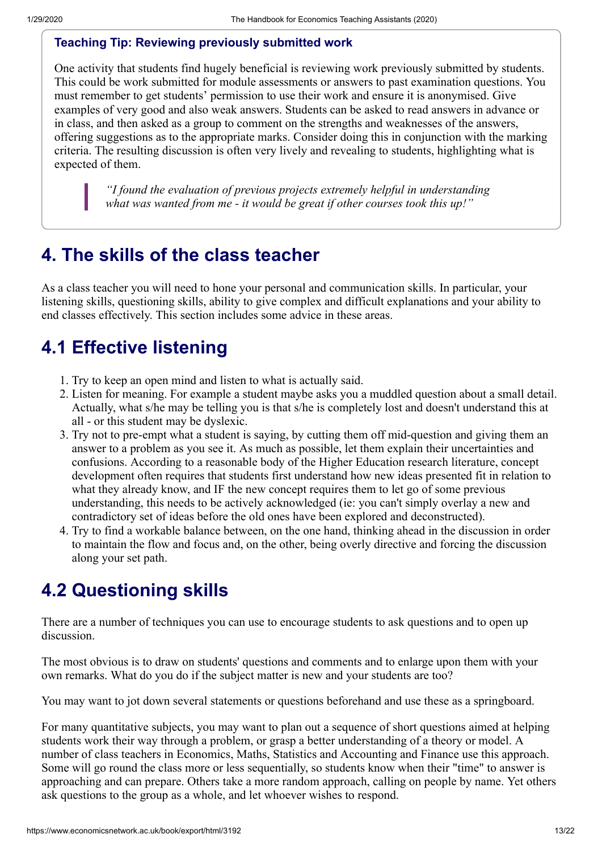### **Teaching Tip: Reviewing previously submitted work**

One activity that students find hugely beneficial is reviewing work previously submitted by students. This could be work submitted for module assessments or answers to past examination questions. You must remember to get students' permission to use their work and ensure it is anonymised. Give examples of very good and also weak answers. Students can be asked to read answers in advance or in class, and then asked as a group to comment on the strengths and weaknesses of the answers, offering suggestions as to the appropriate marks. Consider doing this in conjunction with the marking criteria. The resulting discussion is often very lively and revealing to students, highlighting what is expected of them.

*"I found the evaluation of previous projects extremely helpful in understanding what was wanted from me - it would be great if other courses took this up!"*

## **4. The skills of the class teacher**

As a class teacher you will need to hone your personal and communication skills. In particular, your listening skills, questioning skills, ability to give complex and difficult explanations and your ability to end classes effectively. This section includes some advice in these areas.

# **4.1 Effective listening**

- 1. Try to keep an open mind and listen to what is actually said.
- 2. Listen for meaning. For example a student maybe asks you a muddled question about a small detail. Actually, what s/he may be telling you is that s/he is completely lost and doesn't understand this at all - or this student may be dyslexic.
- 3. Try not to pre-empt what a student is saying, by cutting them off mid-question and giving them an answer to a problem as you see it. As much as possible, let them explain their uncertainties and confusions. According to a reasonable body of the Higher Education research literature, concept development often requires that students first understand how new ideas presented fit in relation to what they already know, and IF the new concept requires them to let go of some previous understanding, this needs to be actively acknowledged (ie: you can't simply overlay a new and contradictory set of ideas before the old ones have been explored and deconstructed).
- 4. Try to find a workable balance between, on the one hand, thinking ahead in the discussion in order to maintain the flow and focus and, on the other, being overly directive and forcing the discussion along your set path.

# **4.2 Questioning skills**

There are a number of techniques you can use to encourage students to ask questions and to open up discussion.

The most obvious is to draw on students' questions and comments and to enlarge upon them with your own remarks. What do you do if the subject matter is new and your students are too?

You may want to jot down several statements or questions beforehand and use these as a springboard.

For many quantitative subjects, you may want to plan out a sequence of short questions aimed at helping students work their way through a problem, or grasp a better understanding of a theory or model. A number of class teachers in Economics, Maths, Statistics and Accounting and Finance use this approach. Some will go round the class more or less sequentially, so students know when their "time" to answer is approaching and can prepare. Others take a more random approach, calling on people by name. Yet others ask questions to the group as a whole, and let whoever wishes to respond.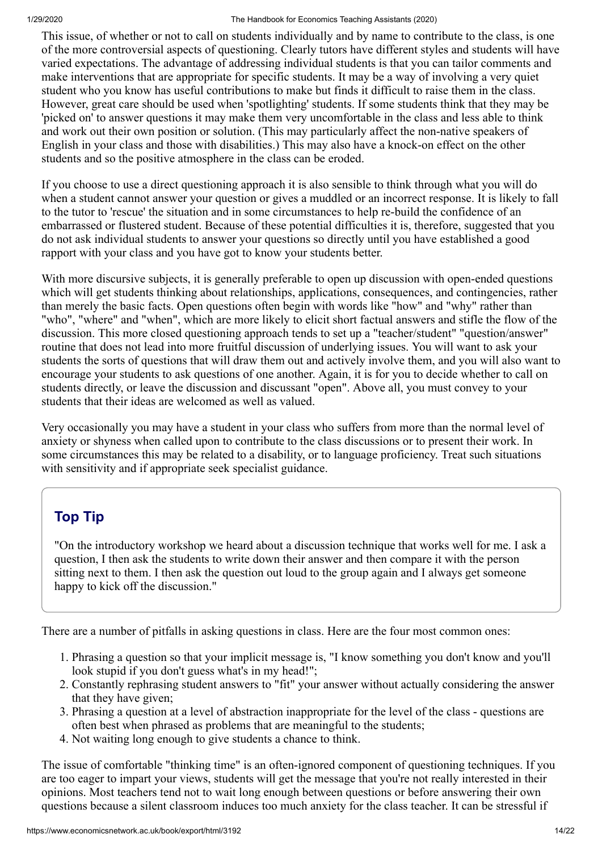This issue, of whether or not to call on students individually and by name to contribute to the class, is one of the more controversial aspects of questioning. Clearly tutors have different styles and students will have varied expectations. The advantage of addressing individual students is that you can tailor comments and make interventions that are appropriate for specific students. It may be a way of involving a very quiet student who you know has useful contributions to make but finds it difficult to raise them in the class. However, great care should be used when 'spotlighting' students. If some students think that they may be 'picked on' to answer questions it may make them very uncomfortable in the class and less able to think and work out their own position or solution. (This may particularly affect the non-native speakers of English in your class and those with disabilities.) This may also have a knock-on effect on the other students and so the positive atmosphere in the class can be eroded.

If you choose to use a direct questioning approach it is also sensible to think through what you will do when a student cannot answer your question or gives a muddled or an incorrect response. It is likely to fall to the tutor to 'rescue' the situation and in some circumstances to help re-build the confidence of an embarrassed or flustered student. Because of these potential difficulties it is, therefore, suggested that you do not ask individual students to answer your questions so directly until you have established a good rapport with your class and you have got to know your students better.

With more discursive subjects, it is generally preferable to open up discussion with open-ended questions which will get students thinking about relationships, applications, consequences, and contingencies, rather than merely the basic facts. Open questions often begin with words like "how" and "why" rather than "who", "where" and "when", which are more likely to elicit short factual answers and stifle the flow of the discussion. This more closed questioning approach tends to set up a "teacher/student" "question/answer" routine that does not lead into more fruitful discussion of underlying issues. You will want to ask your students the sorts of questions that will draw them out and actively involve them, and you will also want to encourage your students to ask questions of one another. Again, it is for you to decide whether to call on students directly, or leave the discussion and discussant "open". Above all, you must convey to your students that their ideas are welcomed as well as valued.

Very occasionally you may have a student in your class who suffers from more than the normal level of anxiety or shyness when called upon to contribute to the class discussions or to present their work. In some circumstances this may be related to a disability, or to language proficiency. Treat such situations with sensitivity and if appropriate seek specialist guidance.

## **Top Tip**

"On the introductory workshop we heard about a discussion technique that works well for me. I ask a question, I then ask the students to write down their answer and then compare it with the person sitting next to them. I then ask the question out loud to the group again and I always get someone happy to kick off the discussion."

There are a number of pitfalls in asking questions in class. Here are the four most common ones:

- 1. Phrasing a question so that your implicit message is, "I know something you don't know and you'll look stupid if you don't guess what's in my head!";
- 2. Constantly rephrasing student answers to "fit" your answer without actually considering the answer that they have given;
- 3. Phrasing a question at a level of abstraction inappropriate for the level of the class questions are often best when phrased as problems that are meaningful to the students;
- 4. Not waiting long enough to give students a chance to think.

The issue of comfortable "thinking time" is an often-ignored component of questioning techniques. If you are too eager to impart your views, students will get the message that you're not really interested in their opinions. Most teachers tend not to wait long enough between questions or before answering their own questions because a silent classroom induces too much anxiety for the class teacher. It can be stressful if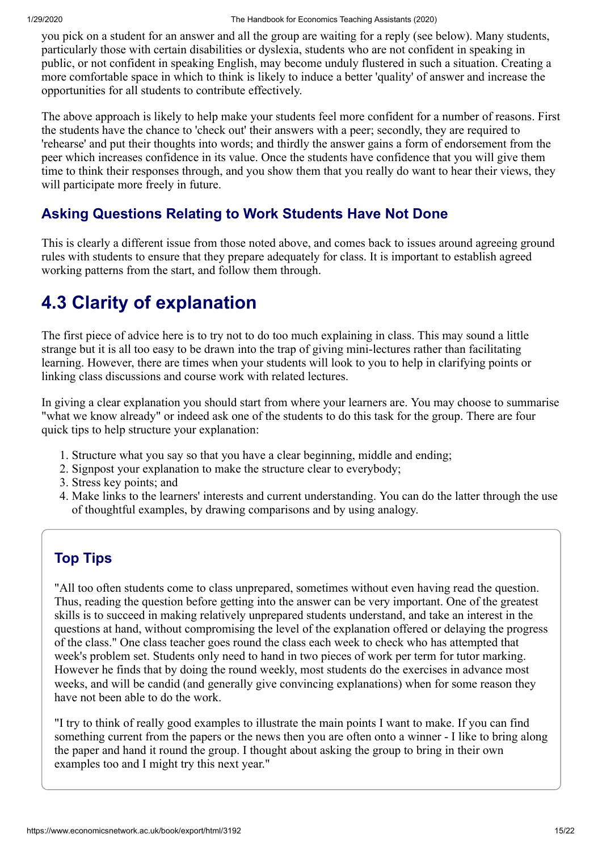you pick on a student for an answer and all the group are waiting for a reply (see below). Many students, particularly those with certain disabilities or dyslexia, students who are not confident in speaking in public, or not confident in speaking English, may become unduly flustered in such a situation. Creating a more comfortable space in which to think is likely to induce a better 'quality' of answer and increase the opportunities for all students to contribute effectively.

The above approach is likely to help make your students feel more confident for a number of reasons. First the students have the chance to 'check out' their answers with a peer; secondly, they are required to 'rehearse' and put their thoughts into words; and thirdly the answer gains a form of endorsement from the peer which increases confidence in its value. Once the students have confidence that you will give them time to think their responses through, and you show them that you really do want to hear their views, they will participate more freely in future.

## **Asking Questions Relating to Work Students Have Not Done**

This is clearly a different issue from those noted above, and comes back to issues around agreeing ground rules with students to ensure that they prepare adequately for class. It is important to establish agreed working patterns from the start, and follow them through.

# **4.3 Clarity of explanation**

The first piece of advice here is to try not to do too much explaining in class. This may sound a little strange but it is all too easy to be drawn into the trap of giving mini-lectures rather than facilitating learning. However, there are times when your students will look to you to help in clarifying points or linking class discussions and course work with related lectures.

In giving a clear explanation you should start from where your learners are. You may choose to summarise "what we know already" or indeed ask one of the students to do this task for the group. There are four quick tips to help structure your explanation:

- 1. Structure what you say so that you have a clear beginning, middle and ending;
- 2. Signpost your explanation to make the structure clear to everybody;
- 3. Stress key points; and
- 4. Make links to the learners' interests and current understanding. You can do the latter through the use of thoughtful examples, by drawing comparisons and by using analogy.

### **Top Tips**

"All too often students come to class unprepared, sometimes without even having read the question. Thus, reading the question before getting into the answer can be very important. One of the greatest skills is to succeed in making relatively unprepared students understand, and take an interest in the questions at hand, without compromising the level of the explanation offered or delaying the progress of the class." One class teacher goes round the class each week to check who has attempted that week's problem set. Students only need to hand in two pieces of work per term for tutor marking. However he finds that by doing the round weekly, most students do the exercises in advance most weeks, and will be candid (and generally give convincing explanations) when for some reason they have not been able to do the work.

"I try to think of really good examples to illustrate the main points I want to make. If you can find something current from the papers or the news then you are often onto a winner - I like to bring along the paper and hand it round the group. I thought about asking the group to bring in their own examples too and I might try this next year."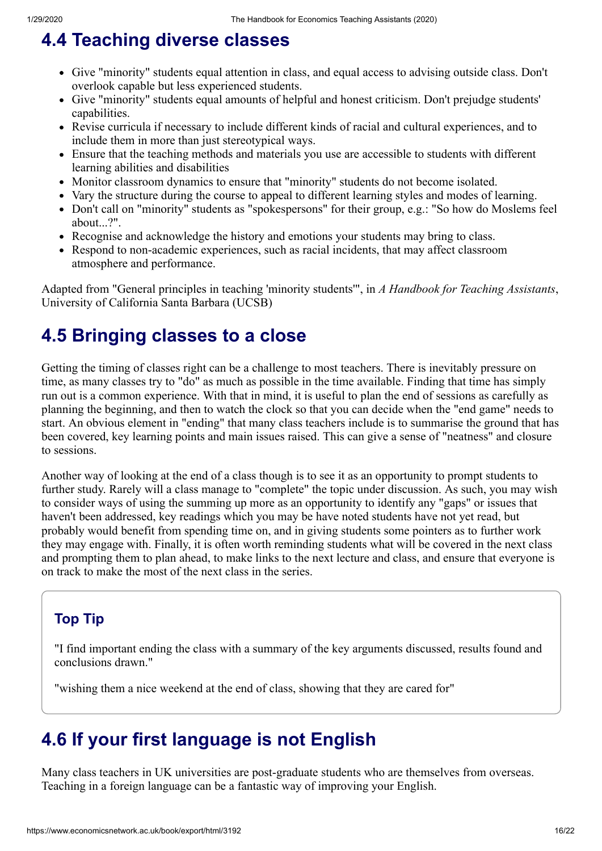# **4.4 Teaching diverse classes**

- Give "minority" students equal attention in class, and equal access to advising outside class. Don't overlook capable but less experienced students.
- Give "minority" students equal amounts of helpful and honest criticism. Don't prejudge students' capabilities.
- Revise curricula if necessary to include different kinds of racial and cultural experiences, and to include them in more than just stereotypical ways.
- Ensure that the teaching methods and materials you use are accessible to students with different learning abilities and disabilities
- Monitor classroom dynamics to ensure that "minority" students do not become isolated.
- Vary the structure during the course to appeal to different learning styles and modes of learning.
- Don't call on "minority" students as "spokespersons" for their group, e.g.: "So how do Moslems feel about...?".
- Recognise and acknowledge the history and emotions your students may bring to class.
- Respond to non-academic experiences, such as racial incidents, that may affect classroom atmosphere and performance.

Adapted from "General principles in teaching 'minority students'", in *A Handbook for Teaching Assistants*, University of California Santa Barbara (UCSB)

## **4.5 Bringing classes to a close**

Getting the timing of classes right can be a challenge to most teachers. There is inevitably pressure on time, as many classes try to "do" as much as possible in the time available. Finding that time has simply run out is a common experience. With that in mind, it is useful to plan the end of sessions as carefully as planning the beginning, and then to watch the clock so that you can decide when the "end game" needs to start. An obvious element in "ending" that many class teachers include is to summarise the ground that has been covered, key learning points and main issues raised. This can give a sense of "neatness" and closure to sessions.

Another way of looking at the end of a class though is to see it as an opportunity to prompt students to further study. Rarely will a class manage to "complete" the topic under discussion. As such, you may wish to consider ways of using the summing up more as an opportunity to identify any "gaps" or issues that haven't been addressed, key readings which you may be have noted students have not yet read, but probably would benefit from spending time on, and in giving students some pointers as to further work they may engage with. Finally, it is often worth reminding students what will be covered in the next class and prompting them to plan ahead, to make links to the next lecture and class, and ensure that everyone is on track to make the most of the next class in the series.

## **Top Tip**

"I find important ending the class with a summary of the key arguments discussed, results found and conclusions drawn."

"wishing them a nice weekend at the end of class, showing that they are cared for"

## **4.6 If your first language is not English**

Many class teachers in UK universities are post-graduate students who are themselves from overseas. Teaching in a foreign language can be a fantastic way of improving your English.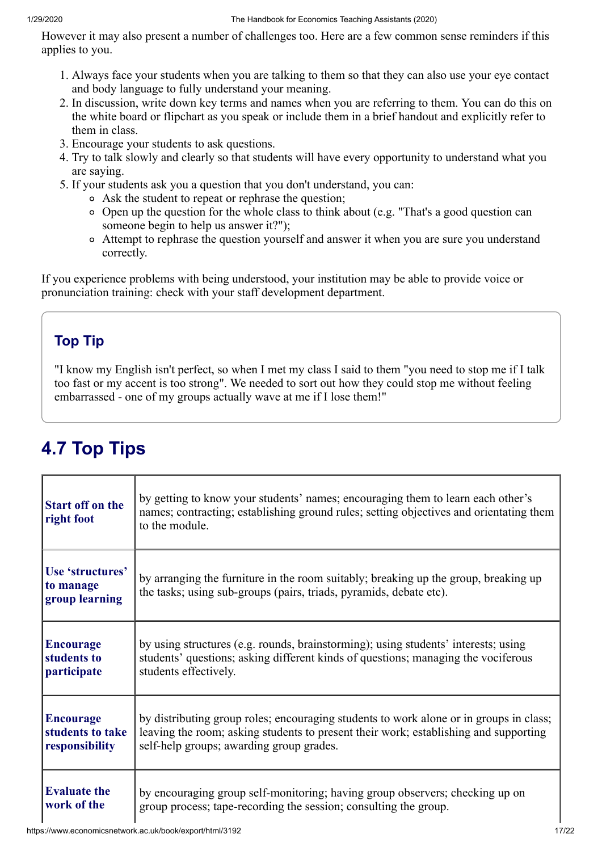However it may also present a number of challenges too. Here are a few common sense reminders if this applies to you.

- 1. Always face your students when you are talking to them so that they can also use your eye contact and body language to fully understand your meaning.
- 2. In discussion, write down key terms and names when you are referring to them. You can do this on the white board or flipchart as you speak or include them in a brief handout and explicitly refer to them in class.
- 3. Encourage your students to ask questions.
- 4. Try to talk slowly and clearly so that students will have every opportunity to understand what you are saying.
- 5. If your students ask you a question that you don't understand, you can:
	- Ask the student to repeat or rephrase the question;
	- Open up the question for the whole class to think about (e.g. "That's a good question can someone begin to help us answer it?");
	- Attempt to rephrase the question yourself and answer it when you are sure you understand correctly.

If you experience problems with being understood, your institution may be able to provide voice or pronunciation training: check with your staff development department.

## **Top Tip**

"I know my English isn't perfect, so when I met my class I said to them "you need to stop me if I talk too fast or my accent is too strong". We needed to sort out how they could stop me without feeling embarrassed - one of my groups actually wave at me if I lose them!"

# **4.7 Top Tips**

| <b>Start off on the</b><br>right foot           | by getting to know your students' names; encouraging them to learn each other's<br>names; contracting; establishing ground rules; setting objectives and orientating them<br>to the module. |
|-------------------------------------------------|---------------------------------------------------------------------------------------------------------------------------------------------------------------------------------------------|
| Use 'structures'<br>to manage<br>group learning | by arranging the furniture in the room suitably; breaking up the group, breaking up<br>the tasks; using sub-groups (pairs, triads, pyramids, debate etc).                                   |
| <b>Encourage</b>                                | by using structures (e.g. rounds, brainstorming); using students' interests; using                                                                                                          |
| students to                                     | students' questions; asking different kinds of questions; managing the vociferous                                                                                                           |
| participate                                     | students effectively.                                                                                                                                                                       |
| <b>Encourage</b>                                | by distributing group roles; encouraging students to work alone or in groups in class;                                                                                                      |
| students to take                                | leaving the room; asking students to present their work; establishing and supporting                                                                                                        |
| responsibility                                  | self-help groups; awarding group grades.                                                                                                                                                    |
| <b>Evaluate the</b>                             | by encouraging group self-monitoring; having group observers; checking up on                                                                                                                |
| work of the                                     | group process; tape-recording the session; consulting the group.                                                                                                                            |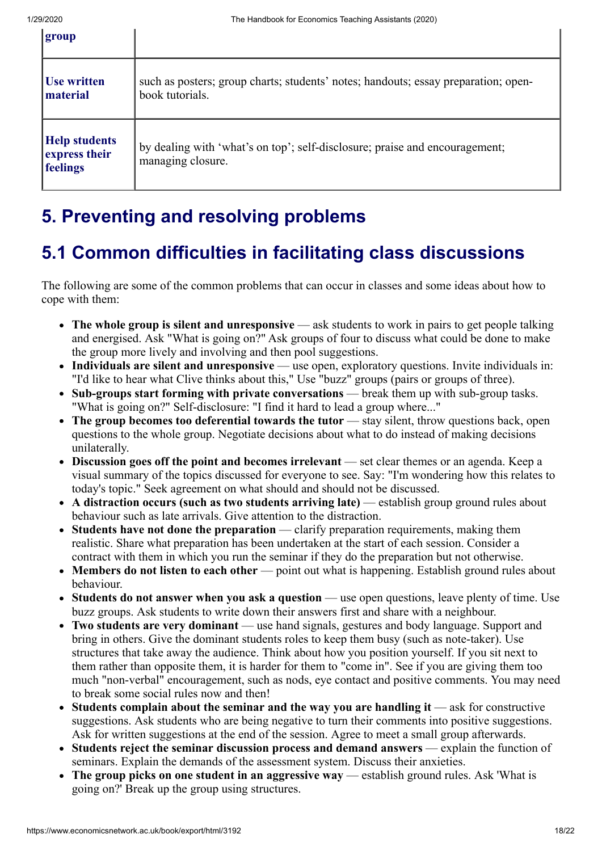| group                                             |                                                                                                       |
|---------------------------------------------------|-------------------------------------------------------------------------------------------------------|
| Use written<br>material                           | such as posters; group charts; students' notes; handouts; essay preparation; open-<br>book tutorials. |
| <b>Help students</b><br>express their<br>feelings | by dealing with 'what's on top'; self-disclosure; praise and encouragement;<br>managing closure.      |

# **5. Preventing and resolving problems**

## **5.1 Common difficulties in facilitating class discussions**

The following are some of the common problems that can occur in classes and some ideas about how to cope with them:

- **The whole group is silent and unresponsive** ask students to work in pairs to get people talking and energised. Ask "What is going on?" Ask groups of four to discuss what could be done to make the group more lively and involving and then pool suggestions.
- **Individuals are silent and unresponsive** use open, exploratory questions. Invite individuals in: "I'd like to hear what Clive thinks about this," Use "buzz" groups (pairs or groups of three).
- **Sub-groups start forming with private conversations** break them up with sub-group tasks. "What is going on?" Self-disclosure: "I find it hard to lead a group where..."
- The group becomes too deferential towards the tutor stay silent, throw questions back, open questions to the whole group. Negotiate decisions about what to do instead of making decisions unilaterally.
- **Discussion goes off the point and becomes irrelevant** set clear themes or an agenda. Keep a visual summary of the topics discussed for everyone to see. Say: "I'm wondering how this relates to today's topic." Seek agreement on what should and should not be discussed.
- **A distraction occurs (such as two students arriving late)** establish group ground rules about behaviour such as late arrivals. Give attention to the distraction.
- **Students have not done the preparation** clarify preparation requirements, making them realistic. Share what preparation has been undertaken at the start of each session. Consider a contract with them in which you run the seminar if they do the preparation but not otherwise.
- Members do not listen to each other point out what is happening. Establish ground rules about behaviour.
- **Students do not answer when you ask a question** use open questions, leave plenty of time. Use buzz groups. Ask students to write down their answers first and share with a neighbour.
- **Two students are very dominant** use hand signals, gestures and body language. Support and bring in others. Give the dominant students roles to keep them busy (such as note-taker). Use structures that take away the audience. Think about how you position yourself. If you sit next to them rather than opposite them, it is harder for them to "come in". See if you are giving them too much "non-verbal" encouragement, such as nods, eye contact and positive comments. You may need to break some social rules now and then!
- Students complain about the seminar and the way you are handling it ask for constructive suggestions. Ask students who are being negative to turn their comments into positive suggestions. Ask for written suggestions at the end of the session. Agree to meet a small group afterwards.
- **Students reject the seminar discussion process and demand answers** explain the function of seminars. Explain the demands of the assessment system. Discuss their anxieties.
- **The group picks on one student in an aggressive way** establish ground rules. Ask 'What is going on?' Break up the group using structures.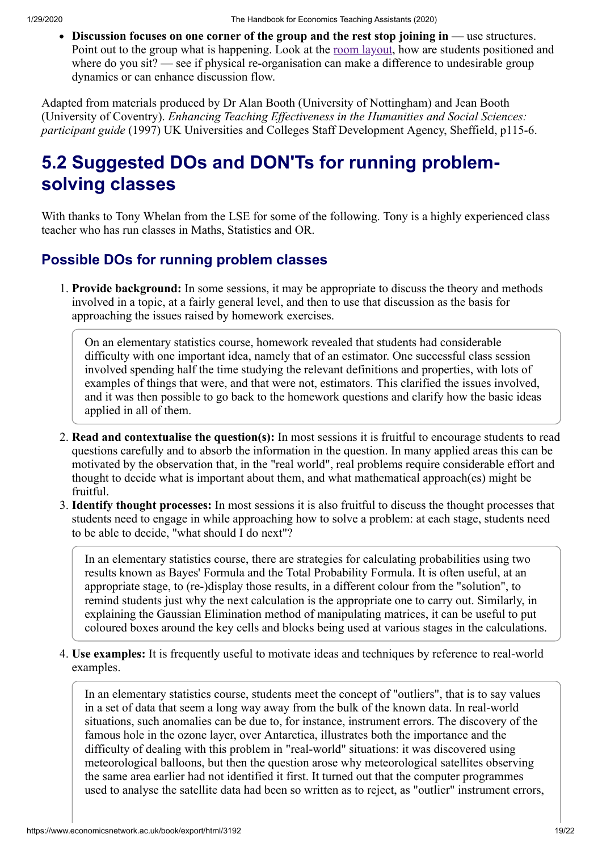**Discussion focuses on one corner of the group and the rest stop joining in** — use structures. Point out to the group what is happening. Look at the <u>[room layout](https://www.economicsnetwork.ac.uk/archive/atherton_teaching/layout)</u>, how are students positioned and where do you sit? — see if physical re-organisation can make a difference to undesirable group dynamics or can enhance discussion flow.

Adapted from materials produced by Dr Alan Booth (University of Nottingham) and Jean Booth (University of Coventry). *Enhancing Teaching Effectiveness in the Humanities and Social Sciences: participant guide* (1997) UK Universities and Colleges Staff Development Agency, Sheffield, p115-6.

# **5.2 Suggested DOs and DON'Ts for running problemsolving classes**

With thanks to Tony Whelan from the LSE for some of the following. Tony is a highly experienced class teacher who has run classes in Maths, Statistics and OR.

## **Possible DOs for running problem classes**

1. **Provide background:** In some sessions, it may be appropriate to discuss the theory and methods involved in a topic, at a fairly general level, and then to use that discussion as the basis for approaching the issues raised by homework exercises.

On an elementary statistics course, homework revealed that students had considerable difficulty with one important idea, namely that of an estimator. One successful class session involved spending half the time studying the relevant definitions and properties, with lots of examples of things that were, and that were not, estimators. This clarified the issues involved, and it was then possible to go back to the homework questions and clarify how the basic ideas applied in all of them.

- 2. **Read and contextualise the question(s):** In most sessions it is fruitful to encourage students to read questions carefully and to absorb the information in the question. In many applied areas this can be motivated by the observation that, in the "real world", real problems require considerable effort and thought to decide what is important about them, and what mathematical approach(es) might be fruitful.
- 3. **Identify thought processes:** In most sessions it is also fruitful to discuss the thought processes that students need to engage in while approaching how to solve a problem: at each stage, students need to be able to decide, "what should I do next"?

In an elementary statistics course, there are strategies for calculating probabilities using two results known as Bayes' Formula and the Total Probability Formula. It is often useful, at an appropriate stage, to (re-)display those results, in a different colour from the "solution", to remind students just why the next calculation is the appropriate one to carry out. Similarly, in explaining the Gaussian Elimination method of manipulating matrices, it can be useful to put coloured boxes around the key cells and blocks being used at various stages in the calculations.

4. **Use examples:** It is frequently useful to motivate ideas and techniques by reference to real-world examples.

In an elementary statistics course, students meet the concept of "outliers", that is to say values in a set of data that seem a long way away from the bulk of the known data. In real-world situations, such anomalies can be due to, for instance, instrument errors. The discovery of the famous hole in the ozone layer, over Antarctica, illustrates both the importance and the difficulty of dealing with this problem in "real-world" situations: it was discovered using meteorological balloons, but then the question arose why meteorological satellites observing the same area earlier had not identified it first. It turned out that the computer programmes used to analyse the satellite data had been so written as to reject, as "outlier" instrument errors,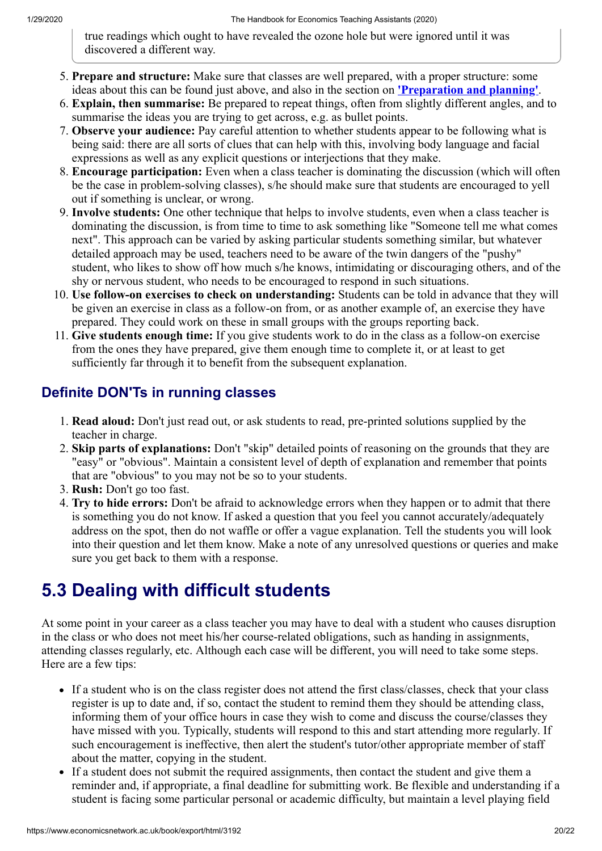true readings which ought to have revealed the ozone hole but were ignored until it was discovered a different way.

- 5. **Prepare and structure:** Make sure that classes are well prepared, with a proper structure: some ideas about this can be found just above, and also in the section on **['Preparation and planning'](https://www.economicsnetwork.ac.uk/2)**.
- 6. **Explain, then summarise:** Be prepared to repeat things, often from slightly different angles, and to summarise the ideas you are trying to get across, e.g. as bullet points.
- 7. **Observe your audience:** Pay careful attention to whether students appear to be following what is being said: there are all sorts of clues that can help with this, involving body language and facial expressions as well as any explicit questions or interjections that they make.
- 8. **Encourage participation:** Even when a class teacher is dominating the discussion (which will often be the case in problem-solving classes), s/he should make sure that students are encouraged to yell out if something is unclear, or wrong.
- 9. **Involve students:** One other technique that helps to involve students, even when a class teacher is dominating the discussion, is from time to time to ask something like "Someone tell me what comes next". This approach can be varied by asking particular students something similar, but whatever detailed approach may be used, teachers need to be aware of the twin dangers of the "pushy" student, who likes to show off how much s/he knows, intimidating or discouraging others, and of the shy or nervous student, who needs to be encouraged to respond in such situations.
- 10. **Use follow-on exercises to check on understanding:** Students can be told in advance that they will be given an exercise in class as a follow-on from, or as another example of, an exercise they have prepared. They could work on these in small groups with the groups reporting back.
- 11. **Give students enough time:** If you give students work to do in the class as a follow-on exercise from the ones they have prepared, give them enough time to complete it, or at least to get sufficiently far through it to benefit from the subsequent explanation.

## **Definite DON'Ts in running classes**

- 1. **Read aloud:** Don't just read out, or ask students to read, pre-printed solutions supplied by the teacher in charge.
- 2. **Skip parts of explanations:** Don't "skip" detailed points of reasoning on the grounds that they are "easy" or "obvious". Maintain a consistent level of depth of explanation and remember that points that are "obvious" to you may not be so to your students.
- 3. **Rush:** Don't go too fast.
- 4. **Try to hide errors:** Don't be afraid to acknowledge errors when they happen or to admit that there is something you do not know. If asked a question that you feel you cannot accurately/adequately address on the spot, then do not waffle or offer a vague explanation. Tell the students you will look into their question and let them know. Make a note of any unresolved questions or queries and make sure you get back to them with a response.

## **5.3 Dealing with difficult students**

At some point in your career as a class teacher you may have to deal with a student who causes disruption in the class or who does not meet his/her course-related obligations, such as handing in assignments, attending classes regularly, etc. Although each case will be different, you will need to take some steps. Here are a few tips:

- If a student who is on the class register does not attend the first class/classes, check that your class register is up to date and, if so, contact the student to remind them they should be attending class, informing them of your office hours in case they wish to come and discuss the course/classes they have missed with you. Typically, students will respond to this and start attending more regularly. If such encouragement is ineffective, then alert the student's tutor/other appropriate member of staff about the matter, copying in the student.
- If a student does not submit the required assignments, then contact the student and give them a reminder and, if appropriate, a final deadline for submitting work. Be flexible and understanding if a student is facing some particular personal or academic difficulty, but maintain a level playing field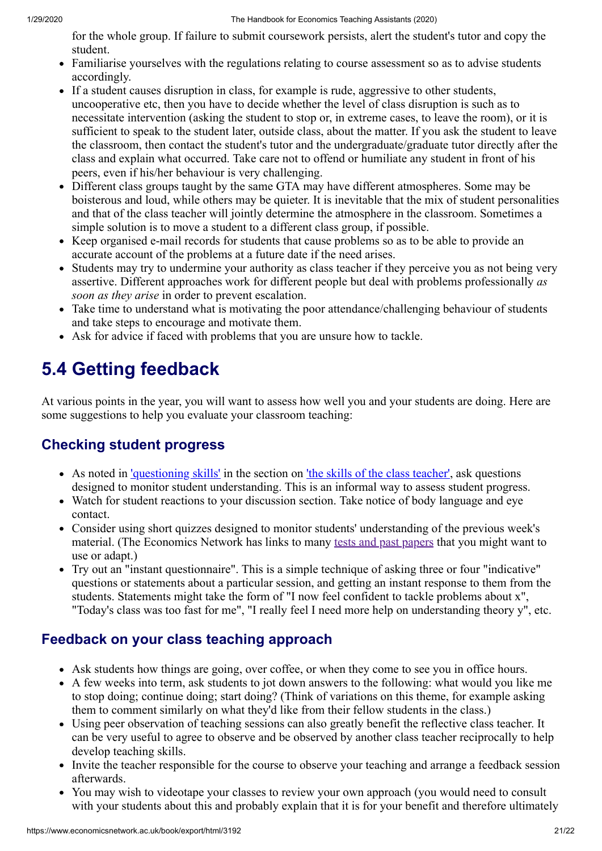for the whole group. If failure to submit coursework persists, alert the student's tutor and copy the student.

- Familiarise yourselves with the regulations relating to course assessment so as to advise students accordingly.
- If a student causes disruption in class, for example is rude, aggressive to other students, uncooperative etc, then you have to decide whether the level of class disruption is such as to necessitate intervention (asking the student to stop or, in extreme cases, to leave the room), or it is sufficient to speak to the student later, outside class, about the matter. If you ask the student to leave the classroom, then contact the student's tutor and the undergraduate/graduate tutor directly after the class and explain what occurred. Take care not to offend or humiliate any student in front of his peers, even if his/her behaviour is very challenging.
- Different class groups taught by the same GTA may have different atmospheres. Some may be boisterous and loud, while others may be quieter. It is inevitable that the mix of student personalities and that of the class teacher will jointly determine the atmosphere in the classroom. Sometimes a simple solution is to move a student to a different class group, if possible.
- Keep organised e-mail records for students that cause problems so as to be able to provide an accurate account of the problems at a future date if the need arises.
- Students may try to undermine your authority as class teacher if they perceive you as not being very assertive. Different approaches work for different people but deal with problems professionally *as soon as they arise* in order to prevent escalation.
- Take time to understand what is motivating the poor attendance/challenging behaviour of students and take steps to encourage and motivate them.
- Ask for advice if faced with problems that you are unsure how to tackle.

# **5.4 Getting feedback**

At various points in the year, you will want to assess how well you and your students are doing. Here are some suggestions to help you evaluate your classroom teaching:

## **Checking student progress**

- As noted in ['questioning skills'](https://www.economicsnetwork.ac.uk/32) in the section on ['the skills of the class teacher'](https://www.economicsnetwork.ac.uk/3), ask questions designed to monitor student understanding. This is an informal way to assess student progress.
- Watch for student reactions to your discussion section. Take notice of body language and eye contact.
- Consider using short quizzes designed to monitor students' understanding of the previous week's material. (The Economics Network has links to many [tests and past papers](https://www.economicsnetwork.ac.uk/teaching/exams) that you might want to use or adapt.)
- Try out an "instant questionnaire". This is a simple technique of asking three or four "indicative" questions or statements about a particular session, and getting an instant response to them from the students. Statements might take the form of "I now feel confident to tackle problems about x", "Today's class was too fast for me", "I really feel I need more help on understanding theory y", etc.

## **Feedback on your class teaching approach**

- Ask students how things are going, over coffee, or when they come to see you in office hours.
- A few weeks into term, ask students to jot down answers to the following: what would you like me to stop doing; continue doing; start doing? (Think of variations on this theme, for example asking them to comment similarly on what they'd like from their fellow students in the class.)
- Using peer observation of teaching sessions can also greatly benefit the reflective class teacher. It can be very useful to agree to observe and be observed by another class teacher reciprocally to help develop teaching skills.
- Invite the teacher responsible for the course to observe your teaching and arrange a feedback session afterwards.
- You may wish to videotape your classes to review your own approach (you would need to consult with your students about this and probably explain that it is for your benefit and therefore ultimately